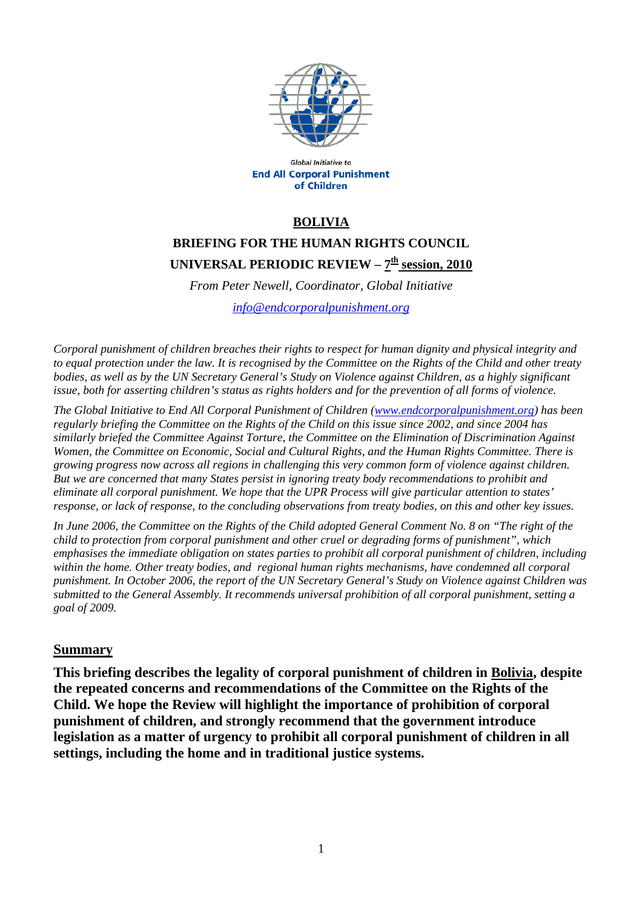

Global Initiative to **End All Corporal Punishment** of Children

### **BOLIVIA**

# **BRIEFING FOR THE HUMAN RIGHTS COUNCIL UNIVERSAL PERIODIC REVIEW –**  $7^{\underline{th}}$  **session, 2010**

*From Peter Newell, Coordinator, Global Initiative* 

*[info@endcorporalpunishment.org](mailto:info@endcorporalpunishment.org)*

*Corporal punishment of children breaches their rights to respect for human dignity and physical integrity and to equal protection under the law. It is recognised by the Committee on the Rights of the Child and other treaty*  bodies, as well as by the UN Secretary General's Study on Violence against Children, as a highly significant *issue, both for asserting children's status as rights holders and for the prevention of all forms of violence.* 

*The Global Initiative to End All Corporal Punishment of Children [\(www.endcorporalpunishment.org](http://www.endcorporalpunishment.org/)) has been regularly briefing the Committee on the Rights of the Child on this issue since 2002, and since 2004 has similarly briefed the Committee Against Torture, the Committee on the Elimination of Discrimination Against Women, the Committee on Economic, Social and Cultural Rights, and the Human Rights Committee. There is growing progress now across all regions in challenging this very common form of violence against children. But we are concerned that many States persist in ignoring treaty body recommendations to prohibit and eliminate all corporal punishment. We hope that the UPR Process will give particular attention to states' response, or lack of response, to the concluding observations from treaty bodies, on this and other key issues.* 

*In June 2006, the Committee on the Rights of the Child adopted General Comment No. 8 on "The right of the child to protection from corporal punishment and other cruel or degrading forms of punishment", which emphasises the immediate obligation on states parties to prohibit all corporal punishment of children, including within the home. Other treaty bodies, and regional human rights mechanisms, have condemned all corporal punishment. In October 2006, the report of the UN Secretary General's Study on Violence against Children was submitted to the General Assembly. It recommends universal prohibition of all corporal punishment, setting a goal of 2009.*

#### **Summary**

**This briefing describes the legality of corporal punishment of children in Bolivia, despite the repeated concerns and recommendations of the Committee on the Rights of the Child. We hope the Review will highlight the importance of prohibition of corporal punishment of children, and strongly recommend that the government introduce legislation as a matter of urgency to prohibit all corporal punishment of children in all settings, including the home and in traditional justice systems.**